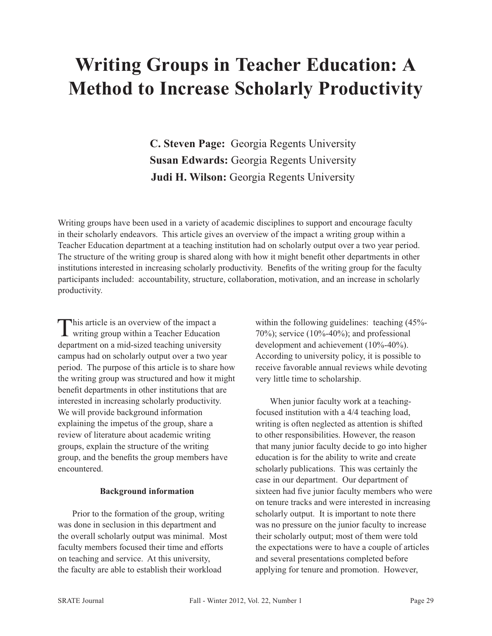# **Writing Groups in Teacher Education: A Method to Increase Scholarly Productivity**

**C. Steven Page:** Georgia Regents University **Susan Edwards:** Georgia Regents University **Judi H. Wilson:** Georgia Regents University

Writing groups have been used in a variety of academic disciplines to support and encourage faculty in their scholarly endeavors. This article gives an overview of the impact a writing group within a Teacher Education department at a teaching institution had on scholarly output over a two year period. The structure of the writing group is shared along with how it might benefit other departments in other institutions interested in increasing scholarly productivity. Benefits of the writing group for the faculty participants included: accountability, structure, collaboration, motivation, and an increase in scholarly productivity.

This article is an overview of the impact a writing group within a Teacher Education department on a mid-sized teaching university campus had on scholarly output over a two year period. The purpose of this article is to share how the writing group was structured and how it might benefit departments in other institutions that are interested in increasing scholarly productivity. We will provide background information explaining the impetus of the group, share a review of literature about academic writing groups, explain the structure of the writing group, and the benefits the group members have encountered.

# **Background information**

Prior to the formation of the group, writing was done in seclusion in this department and the overall scholarly output was minimal. Most faculty members focused their time and efforts on teaching and service. At this university, the faculty are able to establish their workload

within the following guidelines: teaching (45%-70%); service (10%-40%); and professional development and achievement (10%-40%). According to university policy, it is possible to receive favorable annual reviews while devoting very little time to scholarship.

When junior faculty work at a teachingfocused institution with a 4/4 teaching load, writing is often neglected as attention is shifted to other responsibilities. However, the reason that many junior faculty decide to go into higher education is for the ability to write and create scholarly publications. This was certainly the case in our department. Our department of sixteen had five junior faculty members who were on tenure tracks and were interested in increasing scholarly output. It is important to note there was no pressure on the junior faculty to increase their scholarly output; most of them were told the expectations were to have a couple of articles and several presentations completed before applying for tenure and promotion. However,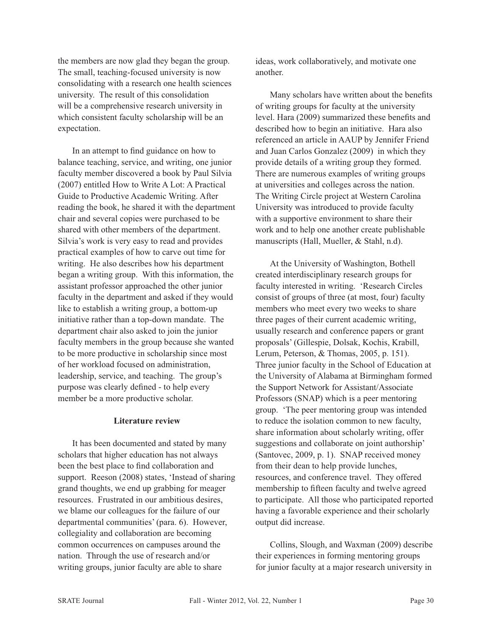the members are now glad they began the group. The small, teaching-focused university is now consolidating with a research one health sciences university. The result of this consolidation will be a comprehensive research university in which consistent faculty scholarship will be an expectation.

In an attempt to find guidance on how to balance teaching, service, and writing, one junior faculty member discovered a book by Paul Silvia (2007) entitled How to Write A Lot: A Practical Guide to Productive Academic Writing. After reading the book, he shared it with the department chair and several copies were purchased to be shared with other members of the department. Silvia's work is very easy to read and provides practical examples of how to carve out time for writing. He also describes how his department began a writing group. With this information, the assistant professor approached the other junior faculty in the department and asked if they would like to establish a writing group, a bottom-up initiative rather than a top-down mandate. The department chair also asked to join the junior faculty members in the group because she wanted to be more productive in scholarship since most of her workload focused on administration, leadership, service, and teaching. The group's purpose was clearly defined - to help every member be a more productive scholar.

# **Literature review**

It has been documented and stated by many scholars that higher education has not always been the best place to find collaboration and support. Reeson (2008) states, 'Instead of sharing grand thoughts, we end up grabbing for meager resources. Frustrated in our ambitious desires, we blame our colleagues for the failure of our departmental communities' (para. 6). However, collegiality and collaboration are becoming common occurrences on campuses around the nation. Through the use of research and/or writing groups, junior faculty are able to share

ideas, work collaboratively, and motivate one another.

Many scholars have written about the benefits of writing groups for faculty at the university level. Hara (2009) summarized these benefits and described how to begin an initiative. Hara also referenced an article in AAUP by Jennifer Friend and Juan Carlos Gonzalez (2009) in which they provide details of a writing group they formed. There are numerous examples of writing groups at universities and colleges across the nation. The Writing Circle project at Western Carolina University was introduced to provide faculty with a supportive environment to share their work and to help one another create publishable manuscripts (Hall, Mueller, & Stahl, n.d).

At the University of Washington, Bothell created interdisciplinary research groups for faculty interested in writing. 'Research Circles consist of groups of three (at most, four) faculty members who meet every two weeks to share three pages of their current academic writing, usually research and conference papers or grant proposals' (Gillespie, Dolsak, Kochis, Krabill, Lerum, Peterson, & Thomas, 2005, p. 151). Three junior faculty in the School of Education at the University of Alabama at Birmingham formed the Support Network for Assistant/Associate Professors (SNAP) which is a peer mentoring group. 'The peer mentoring group was intended to reduce the isolation common to new faculty, share information about scholarly writing, offer suggestions and collaborate on joint authorship' (Santovec, 2009, p. 1). SNAP received money from their dean to help provide lunches, resources, and conference travel. They offered membership to fifteen faculty and twelve agreed to participate. All those who participated reported having a favorable experience and their scholarly output did increase.

Collins, Slough, and Waxman (2009) describe their experiences in forming mentoring groups for junior faculty at a major research university in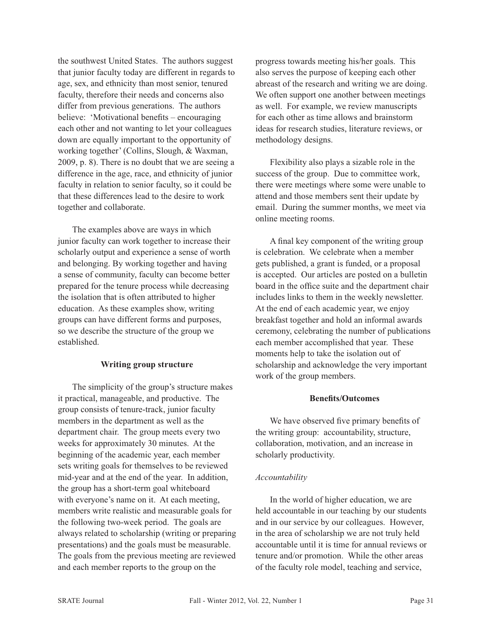the southwest United States. The authors suggest that junior faculty today are different in regards to age, sex, and ethnicity than most senior, tenured faculty, therefore their needs and concerns also differ from previous generations. The authors believe: 'Motivational benefits – encouraging each other and not wanting to let your colleagues down are equally important to the opportunity of working together' (Collins, Slough, & Waxman, 2009, p. 8). There is no doubt that we are seeing a difference in the age, race, and ethnicity of junior faculty in relation to senior faculty, so it could be that these differences lead to the desire to work together and collaborate.

The examples above are ways in which junior faculty can work together to increase their scholarly output and experience a sense of worth and belonging. By working together and having a sense of community, faculty can become better prepared for the tenure process while decreasing the isolation that is often attributed to higher education. As these examples show, writing groups can have different forms and purposes, so we describe the structure of the group we established.

# **Writing group structure**

The simplicity of the group's structure makes it practical, manageable, and productive. The group consists of tenure-track, junior faculty members in the department as well as the department chair. The group meets every two weeks for approximately 30 minutes. At the beginning of the academic year, each member sets writing goals for themselves to be reviewed mid-year and at the end of the year. In addition, the group has a short-term goal whiteboard with everyone's name on it. At each meeting, members write realistic and measurable goals for the following two-week period. The goals are always related to scholarship (writing or preparing presentations) and the goals must be measurable. The goals from the previous meeting are reviewed and each member reports to the group on the

progress towards meeting his/her goals. This also serves the purpose of keeping each other abreast of the research and writing we are doing. We often support one another between meetings as well. For example, we review manuscripts for each other as time allows and brainstorm ideas for research studies, literature reviews, or methodology designs.

Flexibility also plays a sizable role in the success of the group. Due to committee work, there were meetings where some were unable to attend and those members sent their update by email. During the summer months, we meet via online meeting rooms.

A final key component of the writing group is celebration. We celebrate when a member gets published, a grant is funded, or a proposal is accepted. Our articles are posted on a bulletin board in the office suite and the department chair includes links to them in the weekly newsletter. At the end of each academic year, we enjoy breakfast together and hold an informal awards ceremony, celebrating the number of publications each member accomplished that year. These moments help to take the isolation out of scholarship and acknowledge the very important work of the group members.

# Benefits/Outcomes

We have observed five primary benefits of the writing group: accountability, structure, collaboration, motivation, and an increase in scholarly productivity.

#### *Accountability*

In the world of higher education, we are held accountable in our teaching by our students and in our service by our colleagues. However, in the area of scholarship we are not truly held accountable until it is time for annual reviews or tenure and/or promotion. While the other areas of the faculty role model, teaching and service,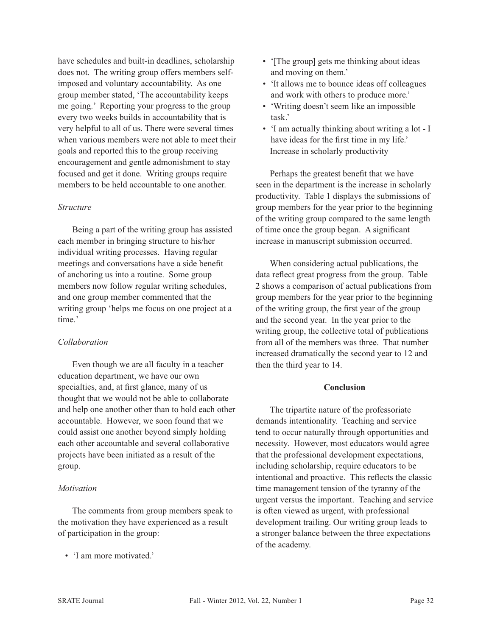have schedules and built-in deadlines, scholarship does not. The writing group offers members selfimposed and voluntary accountability. As one group member stated, 'The accountability keeps me going.' Reporting your progress to the group every two weeks builds in accountability that is very helpful to all of us. There were several times when various members were not able to meet their goals and reported this to the group receiving encouragement and gentle admonishment to stay focused and get it done. Writing groups require members to be held accountable to one another.

## *Structure*

Being a part of the writing group has assisted each member in bringing structure to his/her individual writing processes. Having regular meetings and conversations have a side benefit of anchoring us into a routine. Some group members now follow regular writing schedules, and one group member commented that the writing group 'helps me focus on one project at a time.'

#### *Collaboration*

Even though we are all faculty in a teacher education department, we have our own specialties, and, at first glance, many of us thought that we would not be able to collaborate and help one another other than to hold each other accountable. However, we soon found that we could assist one another beyond simply holding each other accountable and several collaborative projects have been initiated as a result of the group.

#### *Motivation*

The comments from group members speak to the motivation they have experienced as a result of participation in the group:

• 'I am more motivated.'

- '[The group] gets me thinking about ideas and moving on them.'
- 'It allows me to bounce ideas off colleagues and work with others to produce more.'
- 'Writing doesn't seem like an impossible task.'
- 'I am actually thinking about writing a lot I have ideas for the first time in my life.' Increase in scholarly productivity

Perhaps the greatest benefit that we have seen in the department is the increase in scholarly productivity. Table 1 displays the submissions of group members for the year prior to the beginning of the writing group compared to the same length of time once the group began. A significant increase in manuscript submission occurred.

When considering actual publications, the data reflect great progress from the group. Table 2 shows a comparison of actual publications from group members for the year prior to the beginning of the writing group, the first year of the group and the second year. In the year prior to the writing group, the collective total of publications from all of the members was three. That number increased dramatically the second year to 12 and then the third year to 14.

#### **Conclusion**

The tripartite nature of the professoriate demands intentionality. Teaching and service tend to occur naturally through opportunities and necessity. However, most educators would agree that the professional development expectations, including scholarship, require educators to be intentional and proactive. This reflects the classic time management tension of the tyranny of the urgent versus the important. Teaching and service is often viewed as urgent, with professional development trailing. Our writing group leads to a stronger balance between the three expectations of the academy.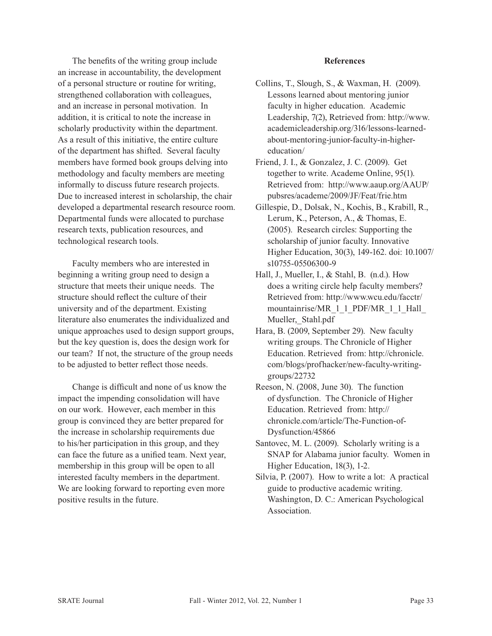The benefits of the writing group include an increase in accountability, the development of a personal structure or routine for writing, strengthened collaboration with colleagues, and an increase in personal motivation. In addition, it is critical to note the increase in scholarly productivity within the department. As a result of this initiative, the entire culture of the department has shifted. Several faculty members have formed book groups delving into methodology and faculty members are meeting informally to discuss future research projects. Due to increased interest in scholarship, the chair developed a departmental research resource room. Departmental funds were allocated to purchase research texts, publication resources, and technological research tools.

Faculty members who are interested in beginning a writing group need to design a structure that meets their unique needs. The structure should reflect the culture of their university and of the department. Existing literature also enumerates the individualized and unique approaches used to design support groups, but the key question is, does the design work for our team? If not, the structure of the group needs to be adjusted to better reflect those needs.

Change is difficult and none of us know the impact the impending consolidation will have on our work. However, each member in this group is convinced they are better prepared for the increase in scholarship requirements due to his/her participation in this group, and they can face the future as a unified team. Next year, membership in this group will be open to all interested faculty members in the department. We are looking forward to reporting even more positive results in the future.

#### **References**

- Collins, T., Slough, S., & Waxman, H. (2009). Lessons learned about mentoring junior faculty in higher education. Academic Leadership, 7(2), Retrieved from: http://www. academicleadership.org/316/lessons-learnedabout-mentoring-junior-faculty-in-highereducation/
- Friend, J. I., & Gonzalez, J. C. (2009). Get together to write. Academe Online, 95(1). Retrieved from: http://www.aaup.org/AAUP/ pubsres/academe/2009/JF/Feat/frie.htm
- Gillespie, D., Dolsak, N., Kochis, B., Krabill, R., Lerum, K., Peterson, A., & Thomas, E. (2005). Research circles: Supporting the scholarship of junior faculty. Innovative Higher Education, 30(3), 149-162. doi: 10.1007/ s10755-05506300-9
- Hall, J., Mueller, I., & Stahl, B. (n.d.). How does a writing circle help faculty members? Retrieved from: http://www.wcu.edu/facctr/ mountainrise/MR\_1\_1\_PDF/MR\_1\_1\_Hall Mueller, Stahl.pdf
- Hara, B. (2009, September 29). New faculty writing groups. The Chronicle of Higher Education. Retrieved from: http://chronicle. com/blogs/profhacker/new-faculty-writinggroups/22732
- Reeson, N. (2008, June 30). The function of dysfunction. The Chronicle of Higher Education. Retrieved from: http:// chronicle.com/article/The-Function-of-Dysfunction/45866
- Santovec, M. L. (2009). Scholarly writing is a SNAP for Alabama junior faculty. Women in Higher Education, 18(3), 1-2.
- Silvia, P. (2007). How to write a lot: A practical guide to productive academic writing. Washington, D. C.: American Psychological Association.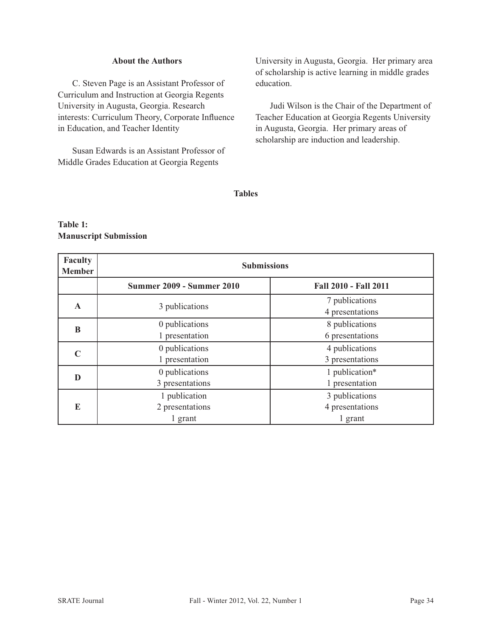## **About the Authors**

C. Steven Page is an Assistant Professor of Curriculum and Instruction at Georgia Regents University in Augusta, Georgia. Research interests: Curriculum Theory, Corporate Influence in Education, and Teacher Identity

Susan Edwards is an Assistant Professor of Middle Grades Education at Georgia Regents

University in Augusta, Georgia. Her primary area of scholarship is active learning in middle grades education.

Judi Wilson is the Chair of the Department of Teacher Education at Georgia Regents University in Augusta, Georgia. Her primary areas of scholarship are induction and leadership.

## **Tables**

# **Table 1: Manuscript Submission**

| Faculty<br><b>Member</b> | <b>Submissions</b>                          |                                              |  |
|--------------------------|---------------------------------------------|----------------------------------------------|--|
|                          | <b>Summer 2009 - Summer 2010</b>            | <b>Fall 2010 - Fall 2011</b>                 |  |
| $\mathbf{A}$             | 3 publications                              | 7 publications<br>4 presentations            |  |
| B                        | 0 publications<br>1 presentation            | 8 publications<br>6 presentations            |  |
| $\mathbb{C}$             | 0 publications<br>1 presentation            | 4 publications<br>3 presentations            |  |
| D                        | 0 publications<br>3 presentations           | 1 publication*<br>1 presentation             |  |
| E                        | 1 publication<br>2 presentations<br>1 grant | 3 publications<br>4 presentations<br>1 grant |  |